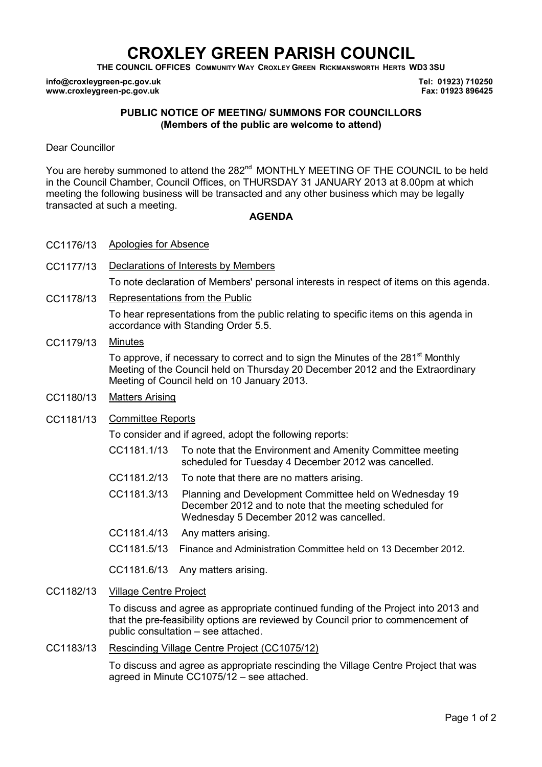# CROXLEY GREEN PARISH COUNCIL

THE COUNCIL OFFICES COMMUNITY WAY CROXLEY GREEN RICKMANSWORTH HERTS WD3 3SU

info@croxleygreen-pc.gov.uk www.croxleygreen-pc.gov.uk

Tel: 01923) 710250 Fax: 01923 896425

## PUBLIC NOTICE OF MEETING/ SUMMONS FOR COUNCILLORS (Members of the public are welcome to attend)

Dear Councillor

You are hereby summoned to attend the 282<sup>nd</sup> MONTHLY MEETING OF THE COUNCIL to be held in the Council Chamber, Council Offices, on THURSDAY 31 JANUARY 2013 at 8.00pm at which meeting the following business will be transacted and any other business which may be legally transacted at such a meeting.

## **AGENDA**

- CC1176/13 Apologies for Absence
- CC1177/13 Declarations of Interests by Members
	- To note declaration of Members' personal interests in respect of items on this agenda.
- CC1178/13 Representations from the Public

To hear representations from the public relating to specific items on this agenda in accordance with Standing Order 5.5.

CC1179/13 Minutes

To approve, if necessary to correct and to sign the Minutes of the 281<sup>st</sup> Monthly Meeting of the Council held on Thursday 20 December 2012 and the Extraordinary Meeting of Council held on 10 January 2013.

CC1180/13 Matters Arising

#### CC1181/13 Committee Reports

To consider and if agreed, adopt the following reports:

- CC1181.1/13 To note that the Environment and Amenity Committee meeting scheduled for Tuesday 4 December 2012 was cancelled.
- CC1181.2/13 To note that there are no matters arising.

CC1181.3/13 Planning and Development Committee held on Wednesday 19 December 2012 and to note that the meeting scheduled for Wednesday 5 December 2012 was cancelled.

- CC1181.4/13 Any matters arising.
- CC1181.5/13 Finance and Administration Committee held on 13 December 2012.

CC1181.6/13 Any matters arising.

CC1182/13 Village Centre Project

To discuss and agree as appropriate continued funding of the Project into 2013 and that the pre-feasibility options are reviewed by Council prior to commencement of public consultation – see attached.

#### CC1183/13 Rescinding Village Centre Project (CC1075/12)

To discuss and agree as appropriate rescinding the Village Centre Project that was agreed in Minute CC1075/12 – see attached.